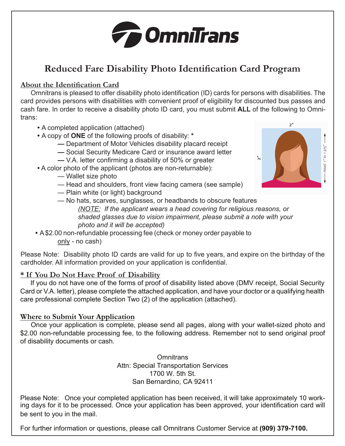

# **Reduced Fare Disability Photo Identification Card Program**

## **About the Identification Card**

Omnitrans is pleased to offer disability photo identification (ID) cards for persons with disabilities. The card provides persons with disabilities with convenient proof of eligibility for discounted bus passes and cash fare. In order to receive a disability photo ID card, you must submit **ALL** of the following to Omnitrans:

- **•** A completed application (attached)
- **•** A copy of **ONE** of the following proofs of disability: **\***
	- Department of Motor Vehicles disability placard receipt
	- Social Security Medicare Card or insurance award letter
	- V.A. letter confirming a disability of 50% or greater
- **•** A color photo of the applicant (photos are non-returnable):
	- Wallet size photo
	- Head and shoulders, front view facing camera (see sample)
	- Plain white (or light) background



- No hats, scarves, sunglasses, or headbands to obscure features *(NOTE: If the applicant wears a head covering for religious reasons, or shaded glasses due to vision impairment, please submit a note with your photo and it will be accepted)*
- **•** A \$2.00 non-refundable processing fee (check or money order payable to Omnitrans only - no cash)

Please Note: Disability photo ID cards are valid for up to five years, and expire on the birthday of the cardholder. All information provided on your application is confidential.

### **\* If You Do Not Have Proof of Disability**

If you do not have one of the forms of proof of disability listed above (DMV receipt, Social Security Card or V.A. letter), please complete the attached application, and have your doctor or a qualifying health care professional complete Section Two (2) of the application (attached).

### **Where to Submit Your Application**

Once your application is complete, please send all pages, along with your wallet-sized photo and \$2.00 non-refundable processing fee, to the following address. Remember not to send original proof of disability documents or cash.

> **Omnitrans** Attn: Special Transportation Services 1700 W. 5th St. San Bernardino, CA 92411

Please Note: Once your completed application has been received, it will take approximately 10 working days for it to be processed. Once your application has been approved, your identification card will be sent to you in the mail.

For further information or questions, please call Omnitrans Customer Service at **(909) 379-7100.**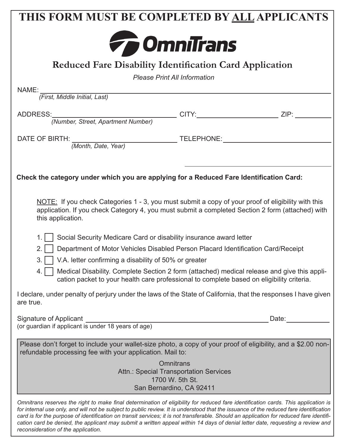| THIS FORM MUST BE COMPLETED BY ALL APPLICANTS                                                                                                                                                                                                                                |                          |       |
|------------------------------------------------------------------------------------------------------------------------------------------------------------------------------------------------------------------------------------------------------------------------------|--------------------------|-------|
|                                                                                                                                                                                                                                                                              |                          |       |
| <b>To OmniTrans</b>                                                                                                                                                                                                                                                          |                          |       |
| <b>Reduced Fare Disability Identification Card Application</b>                                                                                                                                                                                                               |                          |       |
| <b>Please Print All Information</b>                                                                                                                                                                                                                                          |                          |       |
| NAME:                                                                                                                                                                                                                                                                        |                          |       |
| (First, Middle Initial, Last)                                                                                                                                                                                                                                                |                          |       |
| ADDRESS:                                                                                                                                                                                                                                                                     |                          |       |
|                                                                                                                                                                                                                                                                              |                          |       |
| DATE OF BIRTH: THE MANUSCRIPTION CONTROL TELEPHONE:                                                                                                                                                                                                                          |                          |       |
| (Month, Date, Year)                                                                                                                                                                                                                                                          |                          |       |
|                                                                                                                                                                                                                                                                              |                          |       |
| Check the category under which you are applying for a Reduced Fare Identification Card:                                                                                                                                                                                      |                          |       |
|                                                                                                                                                                                                                                                                              |                          |       |
| NOTE: If you check Categories 1 - 3, you must submit a copy of your proof of eligibility with this<br>application. If you check Category 4, you must submit a completed Section 2 form (attached) with<br>this application.                                                  |                          |       |
| Social Security Medicare Card or disability insurance award letter<br>1.                                                                                                                                                                                                     |                          |       |
| Department of Motor Vehicles Disabled Person Placard Identification Card/Receipt<br>2 <sub>1</sub>                                                                                                                                                                           |                          |       |
| V.A. letter confirming a disability of 50% or greater                                                                                                                                                                                                                        |                          |       |
| Medical Disability. Complete Section 2 form (attached) medical release and give this appli-<br>4.<br>cation packet to your health care professional to complete based on eligibility criteria.                                                                               |                          |       |
| I declare, under penalty of perjury under the laws of the State of California, that the responses I have given<br>are true.                                                                                                                                                  |                          |       |
| Signature of Applicant                                                                                                                                                                                                                                                       |                          | Date: |
| (or guardian if applicant is under 18 years of age)                                                                                                                                                                                                                          |                          |       |
| Please don't forget to include your wallet-size photo, a copy of your proof of eligibility, and a \$2.00 non-<br>refundable processing fee with your application. Mail to:                                                                                                   |                          |       |
|                                                                                                                                                                                                                                                                              | <b>Omnitrans</b>         |       |
| <b>Attn.: Special Transportation Services</b><br>1700 W. 5th St.                                                                                                                                                                                                             |                          |       |
|                                                                                                                                                                                                                                                                              | San Bernardino, CA 92411 |       |
| Omnitrans reserves the right to make final determination of eligibility for reduced fare identification cards. This application is<br>for internal use only, and will not be subject to public review. It is understood that the issuance of the reduced fare identification |                          |       |

*for internal use only, and will not be subject to public review. It is understood that the issuance of the reduced fare identification card is for the purpose of identification on transit services; it is not transferable. Should an application for reduced fare identification card be denied, the applicant may submit a written appeal within 14 days of denial letter date, requesting a review and reconsideration of the application.*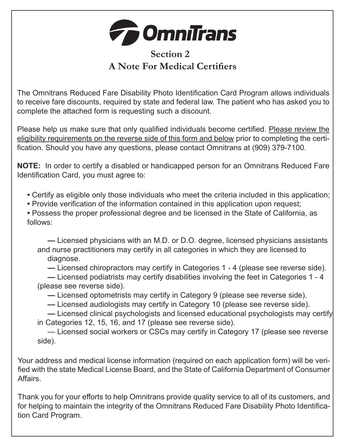

## **Section 2 A Note For Medical Certifiers**

The Omnitrans Reduced Fare Disability Photo Identification Card Program allows individuals to receive fare discounts, required by state and federal law. The patient who has asked you to complete the attached form is requesting such a discount.

Please help us make sure that only qualified individuals become certified. Please review the eligibility requirements on the reverse side of this form and below prior to completing the certification. Should you have any questions, please contact Omnitrans at (909) 379-7100.

**NOTE:** In order to certify a disabled or handicapped person for an Omnitrans Reduced Fare Identification Card, you must agree to:

- **•** Certify as eligible only those individuals who meet the criteria included in this application;
- **•** Provide verification of the information contained in this application upon request;

**•** Possess the proper professional degree and be licensed in the State of California, as follows:

**—** Licensed physicians with an M.D. or D.O. degree, licensed physicians assistants and nurse practitioners may certify in all categories in which they are licensed to diagnose.

**—** Licensed chiropractors may certify in Categories 1 - 4 (please see reverse side).

- **—** Licensed podiatrists may certify disabilities involving the feet in Categories 1 4 (please see reverse side).
	- **—** Licensed optometrists may certify in Category 9 (please see reverse side).
	- **—** Licensed audiologists may certify in Category 10 (please see reverse side).

**—** Licensed clinical psychologists and licensed educational psychologists may certify in Categories 12, 15, 16, and 17 (please see reverse side).

— Licensed social workers or CSCs may certify in Category 17 (please see reverse side).

Your address and medical license information (required on each application form) will be verified with the state Medical License Board, and the State of California Department of Consumer Affairs.

Thank you for your efforts to help Omnitrans provide quality service to all of its customers, and for helping to maintain the integrity of the Omnitrans Reduced Fare Disability Photo Identification Card Program.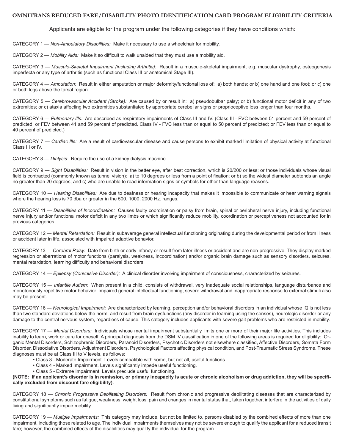#### **OMNITRANS REDUCED FARE/DISABILITY PHOTO IDENTIFICATION CARD PROGRAM ELIGIBILITY CRITERIA**

Applicants are eligible for the program under the following categories if they have conditions which:

CATEGORY 1 — *Non-Ambulatory Disabilities:* Make it necessary to use a wheelchair for mobility.

CATEGORY 2 — *Mobility Aids:* Make it so difficult to walk unaided that they must use a mobility aid.

CATEGORY 3 — *Musculo-Skeletal Impairment (including Arthritis):* Result in a musculo-skeletal impairment, e.g. muscular dystrophy, osteogenesis imperfecta or any type of arthritis (such as functional Class III or anatomical Stage III).

CATEGORY 4 — *Amputation:* Result in either amputation or major deformity/functional loss of: a) both hands; or b) one hand and one foot; or c) one or both legs above the tarsal region.

CATEGORY 5 — *Cerebrovascular Accident (Stroke):* Are caused by or result in: a) pseudobulbar palsy; or b) functional motor deficit in any of two extremities; or c) ataxia affecting two extremities substantiated by appropriate cerebellar signs or proprioceptive loss longer than four months.

CATEGORY 6 - Pulmonary Ills: Are described as respiratory impairments of Class III and IV. (Class III - FVC between 51 percent and 59 percent of predicted; or FEV between 41 and 59 percent of predicted. Class IV - FVC less than or equal to 50 percent of predicted; or FEV less than or equal to 40 percent of predicted.)

CATEGORY 7 — *Cardiac Ills:* Are a result of cardiovascular disease and cause persons to exhibit marked limitation of physical activity at functional Class III or IV.

CATEGORY 8 — *Dialysis:* Require the use of a kidney dialysis machine.

CATEGORY 9 — *Sight Disabilities:* Result in vision in the better eye, after best correction, which is 20/200 or less; or those individuals whose visual field is contracted (commonly known as tunnel vision): a) to 10 degrees or less from a point of fixation; or b) so the widest diameter subtends an angle no greater than 20 degrees; and c) who are unable to read information signs or symbols for other than language reasons.

CATEGORY 10 — *Hearing Disabilities:* Are due to deafness or hearing incapacity that makes it impossible to communicate or hear warning signals where the hearing loss is 70 dba or greater in the 500, 1000, 2000 Hz. ranges.

CATEGORY 11 — *Disabilities of Incoordination:* Causes faulty coordination or palsy from brain, spinal or peripheral nerve injury, including functional nerve injury and/or functional motor deficit in any two limbs or which significantly reduce mobility, coordination or perceptiveness not accounted for in previous categories.

CATEGORY 12 — *Mental Retardation:* Result in subaverage general intellectual functioning originating during the developmental period or from illness or accident later in life, associated with impaired adaptive behavior.

CATEGORY 13 — *Cerebral Palsy:* Date from birth or early infancy or result from later illness or accident and are non-progressive. They display marked regression or aberrations of motor functions (paralysis, weakness, incoordination) and/or organic brain damage such as sensory disorders, seizures, mental retardation, learning difficulty and behavioral disorders.

CATEGORY 14 — *Epilepsy (Convulsive Disorder):* A clinical disorder involving impairment of consciousness, characterized by seizures.

CATEGORY 15 — *Infantile Autism:* When present in a child, consists of withdrawal, very inadequate social relationships, language disturbance and monotonously repetitive motor behavior. Impaired general intellectual functioning, severe withdrawal and inappropriate response to external stimuli also may be present.

CATEGORY 16 — *Neurological Impairment:* Are characterized by learning, perception and/or behavioral disorders in an individual whose IQ is not less than two standard deviations below the norm, and result from brain dysfunctions (any disorder in learning using the senses), neurologic disorder or any damage to the central nervous system, regardless of cause. This category includes applicants with severe gait problems who are restricted in mobility.

CATEGORY 17 — *Mental Disorders:* Individuals whose mental impairment substantially limits one or more of their major life activities. This includes inability to learn, work or care for oneself. A principal diagnosis from the DSM IV classification in one of the following areas is required for eligibility: Organic Mental Disorders, Schizophrenic Disorders, Paranoid Disorders, Psychotic Disorders not elsewhere classified, Affective Disorders, Somata Form Disorder, Dissociative Disorders, Adjustment Disorders, Psychological Factors affecting physical condition, and Post-Traumatic Stress Syndrome. These diagnoses must be at Class III to V levels, as follows:

- Class 3 Moderate Impairment. Levels compatible with some, but not all, useful functions.
- Class 4 Marked Impairment. Levels significantly impede useful functioning.
- Class 5 Extreme Impairment. Levels preclude useful functioning.

**(NOTE: If an applicant's disorder is in remission, or primary incapacity is acute or chronic alcoholism or drug addiction, they will be specifically excluded from discount fare eligibility).** 

CATEGORY 18 — *Chronic Progressive Debilitating Disorders:* Result from chronic and progressive debilitating diseases that are characterized by constitutional symptoms such as fatigue, weakness, weight loss, pain and changes in mental status that, taken together, interfere in the activities of daily living and significantly impair mobility.

CATEGORY 19 — *Multiple Impairments:* This category may include, but not be limited to, persons disabled by the combined effects of more than one impairment, including those related to age. The individual impairments themselves may not be severe enough to qualify the applicant for a reduced transit fare; however, the combined effects of the disabilities may qualify the individual for the program.